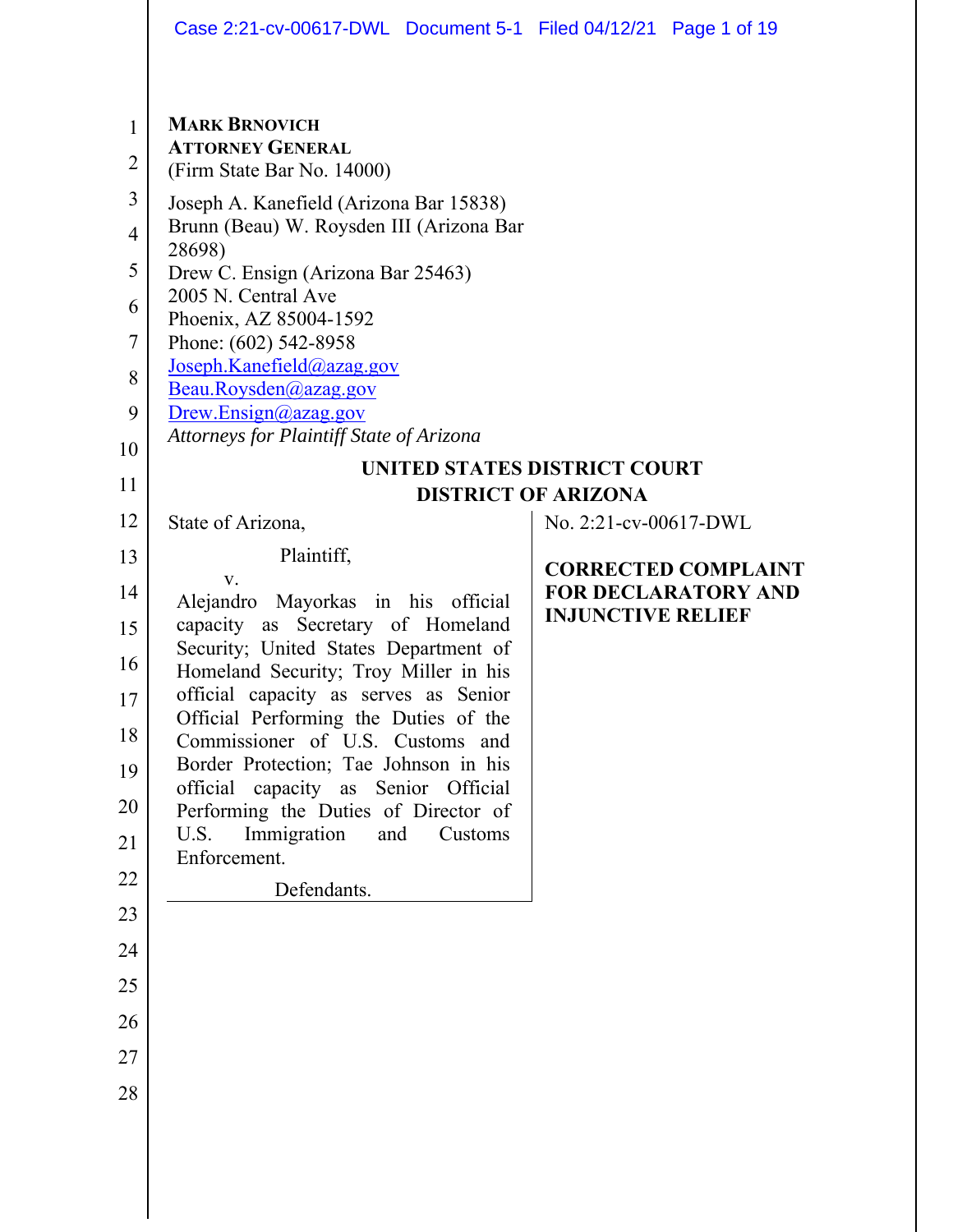|                | Case 2:21-cv-00617-DWL Document 5-1 Filed 04/12/21 Page 1 of 19                |         |                          |                                                          |  |
|----------------|--------------------------------------------------------------------------------|---------|--------------------------|----------------------------------------------------------|--|
|                |                                                                                |         |                          |                                                          |  |
| 1              | <b>MARK BRNOVICH</b>                                                           |         |                          |                                                          |  |
| $\overline{2}$ | <b>ATTORNEY GENERAL</b><br>(Firm State Bar No. 14000)                          |         |                          |                                                          |  |
| 3              | Joseph A. Kanefield (Arizona Bar 15838)                                        |         |                          |                                                          |  |
| $\overline{4}$ | Brunn (Beau) W. Roysden III (Arizona Bar<br>28698)                             |         |                          |                                                          |  |
| 5              | Drew C. Ensign (Arizona Bar 25463)<br>2005 N. Central Ave                      |         |                          |                                                          |  |
| 6              | Phoenix, AZ 85004-1592                                                         |         |                          |                                                          |  |
| 7              | Phone: (602) 542-8958<br>Joseph.Kanefield@azag.gov                             |         |                          |                                                          |  |
| 8              | Beau.Roysden@azag.gov                                                          |         |                          |                                                          |  |
| 9<br>10        | Drew.Ensign@azag.gov<br>Attorneys for Plaintiff State of Arizona               |         |                          |                                                          |  |
| 11             | UNITED STATES DISTRICT COURT                                                   |         |                          |                                                          |  |
| 12             | <b>DISTRICT OF ARIZONA</b><br>No. 2:21-cv-00617-DWL                            |         |                          |                                                          |  |
| 13             | State of Arizona,<br>Plaintiff,                                                |         |                          |                                                          |  |
| 14             | V.                                                                             |         |                          | <b>CORRECTED COMPLAINT</b><br><b>FOR DECLARATORY AND</b> |  |
| 15             | Alejandro Mayorkas in his official<br>capacity as<br>Secretary of Homeland     |         | <b>INJUNCTIVE RELIEF</b> |                                                          |  |
| 16             | Security; United States Department of<br>Homeland Security; Troy Miller in his |         |                          |                                                          |  |
| 17             | official capacity as serves as Senior                                          |         |                          |                                                          |  |
| 18             | Official Performing the Duties of the<br>Commissioner of U.S. Customs and      |         |                          |                                                          |  |
| 19             | Border Protection; Tae Johnson in his<br>official capacity as Senior Official  |         |                          |                                                          |  |
| 20             | Performing the Duties of Director of                                           |         |                          |                                                          |  |
| 21             | Immigration<br>U.S.<br>and<br>Enforcement.                                     | Customs |                          |                                                          |  |
| 22             | Defendants.                                                                    |         |                          |                                                          |  |
| 23             |                                                                                |         |                          |                                                          |  |
| 24             |                                                                                |         |                          |                                                          |  |
| 25             |                                                                                |         |                          |                                                          |  |
| 26             |                                                                                |         |                          |                                                          |  |
| 27             |                                                                                |         |                          |                                                          |  |
| 28             |                                                                                |         |                          |                                                          |  |
|                |                                                                                |         |                          |                                                          |  |
|                |                                                                                |         |                          |                                                          |  |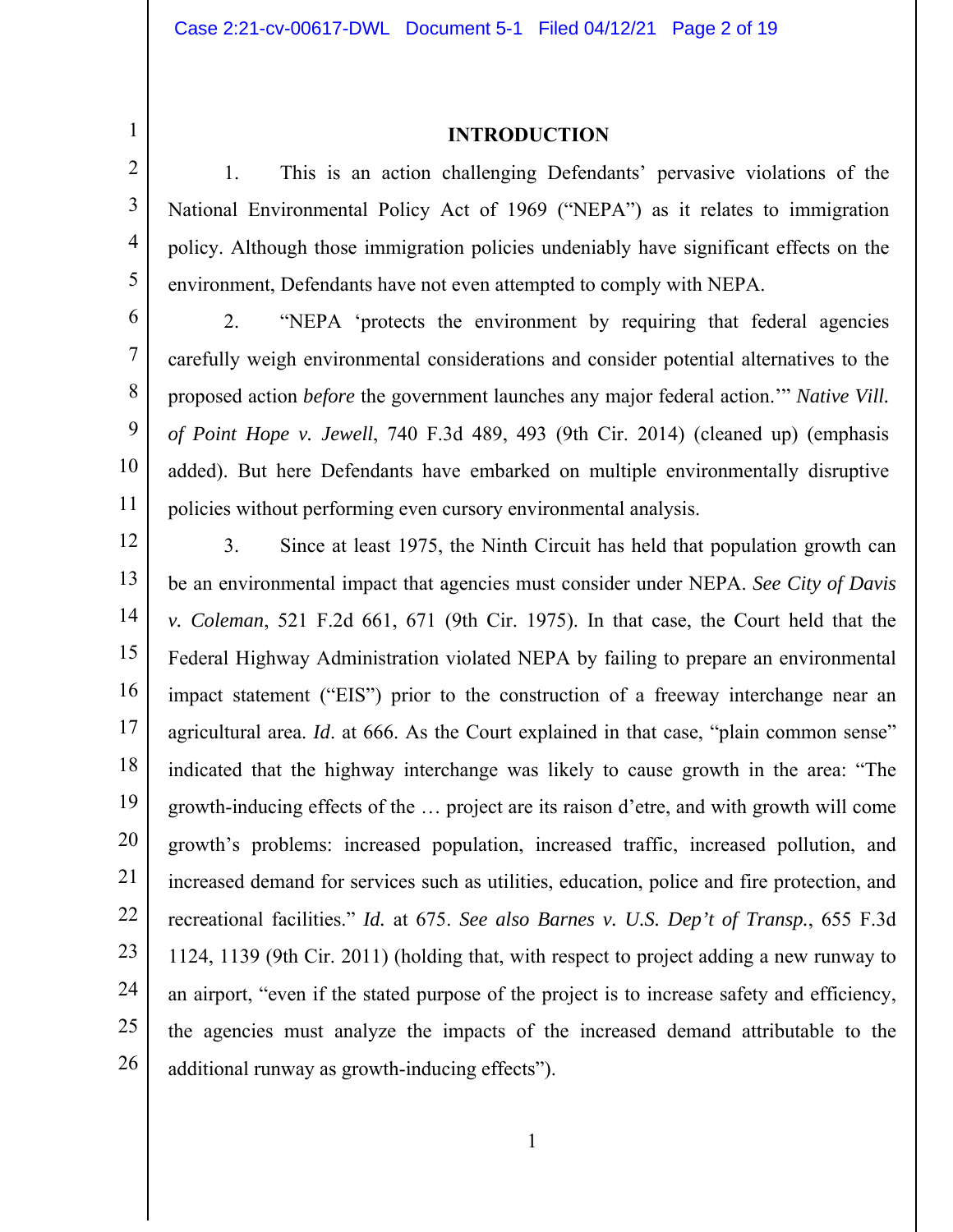1 2 3

4

5

7

11

#### **INTRODUCTION**

1. This is an action challenging Defendants' pervasive violations of the National Environmental Policy Act of 1969 ("NEPA") as it relates to immigration policy. Although those immigration policies undeniably have significant effects on the environment, Defendants have not even attempted to comply with NEPA.

6 8 9 10 2. "NEPA 'protects the environment by requiring that federal agencies carefully weigh environmental considerations and consider potential alternatives to the proposed action *before* the government launches any major federal action.'" *Native Vill. of Point Hope v. Jewell*, 740 F.3d 489, 493 (9th Cir. 2014) (cleaned up) (emphasis added). But here Defendants have embarked on multiple environmentally disruptive policies without performing even cursory environmental analysis.

12 13 14 15 16 17 18 19 20 21 22 23 24 25 26 3. Since at least 1975, the Ninth Circuit has held that population growth can be an environmental impact that agencies must consider under NEPA. *See City of Davis v. Coleman*, 521 F.2d 661, 671 (9th Cir. 1975). In that case, the Court held that the Federal Highway Administration violated NEPA by failing to prepare an environmental impact statement ("EIS") prior to the construction of a freeway interchange near an agricultural area. *Id*. at 666. As the Court explained in that case, "plain common sense" indicated that the highway interchange was likely to cause growth in the area: "The growth-inducing effects of the … project are its raison d'etre, and with growth will come growth's problems: increased population, increased traffic, increased pollution, and increased demand for services such as utilities, education, police and fire protection, and recreational facilities." *Id.* at 675. *See also Barnes v. U.S. Dep't of Transp.*, 655 F.3d 1124, 1139 (9th Cir. 2011) (holding that, with respect to project adding a new runway to an airport, "even if the stated purpose of the project is to increase safety and efficiency, the agencies must analyze the impacts of the increased demand attributable to the additional runway as growth-inducing effects").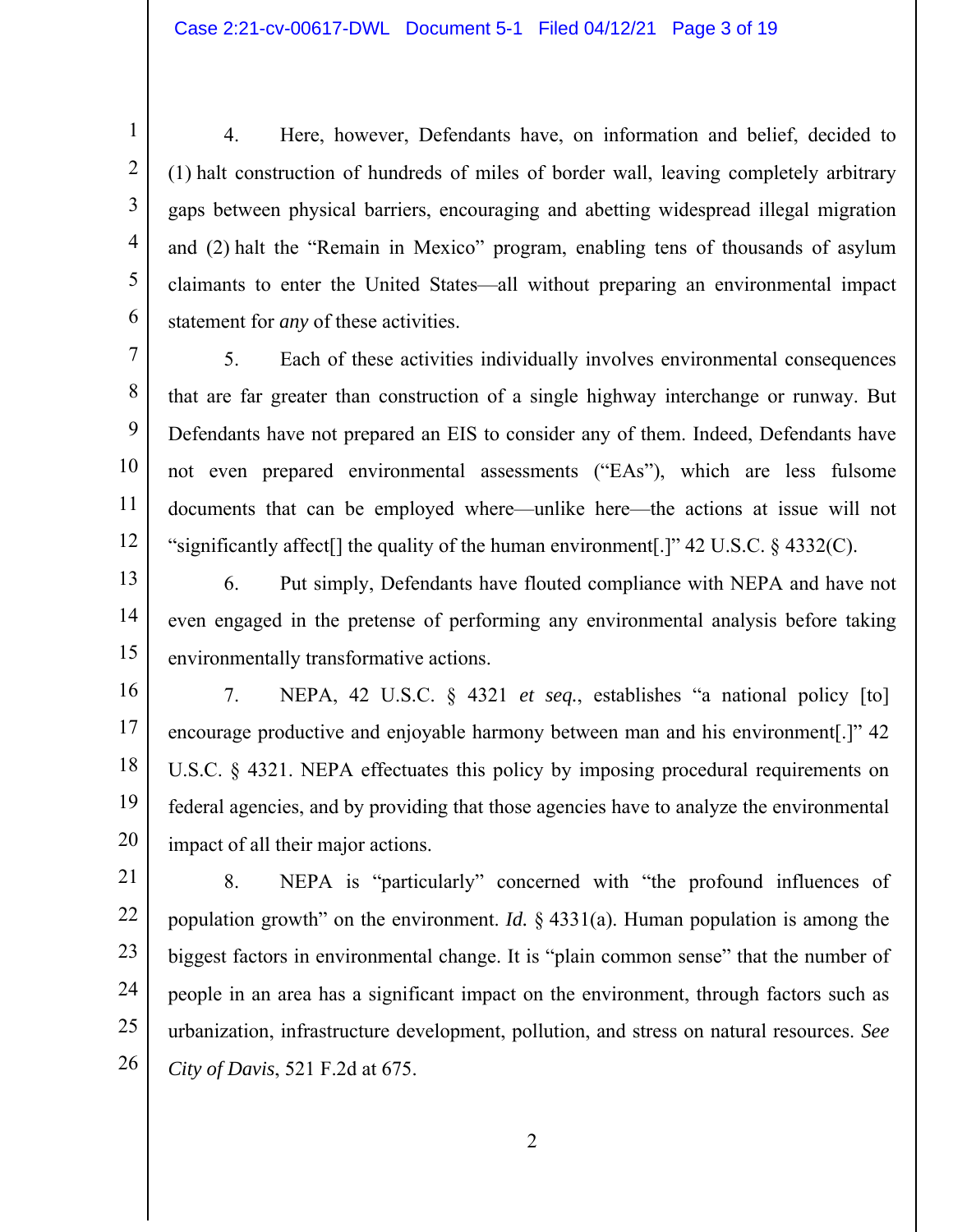2

3

4

5

6

4. Here, however, Defendants have, on information and belief, decided to (1) halt construction of hundreds of miles of border wall, leaving completely arbitrary gaps between physical barriers, encouraging and abetting widespread illegal migration and (2) halt the "Remain in Mexico" program, enabling tens of thousands of asylum claimants to enter the United States—all without preparing an environmental impact statement for *any* of these activities.

7 8 9 10 11 12 5. Each of these activities individually involves environmental consequences that are far greater than construction of a single highway interchange or runway. But Defendants have not prepared an EIS to consider any of them. Indeed, Defendants have not even prepared environmental assessments ("EAs"), which are less fulsome documents that can be employed where—unlike here—the actions at issue will not "significantly affect<sup>[]</sup> the quality of the human environment<sup>[1]</sup>" 42 U.S.C. § 4332(C).

13 14 15 6. Put simply, Defendants have flouted compliance with NEPA and have not even engaged in the pretense of performing any environmental analysis before taking environmentally transformative actions.

16 17 18 19 20 7. NEPA, 42 U.S.C. § 4321 *et seq.*, establishes "a national policy [to] encourage productive and enjoyable harmony between man and his environment[.]" 42 U.S.C. § 4321. NEPA effectuates this policy by imposing procedural requirements on federal agencies, and by providing that those agencies have to analyze the environmental impact of all their major actions.

21 22 23 24 25 26 8. NEPA is "particularly" concerned with "the profound influences of population growth" on the environment. *Id.* § 4331(a). Human population is among the biggest factors in environmental change. It is "plain common sense" that the number of people in an area has a significant impact on the environment, through factors such as urbanization, infrastructure development, pollution, and stress on natural resources. *See City of Davis*, 521 F.2d at 675.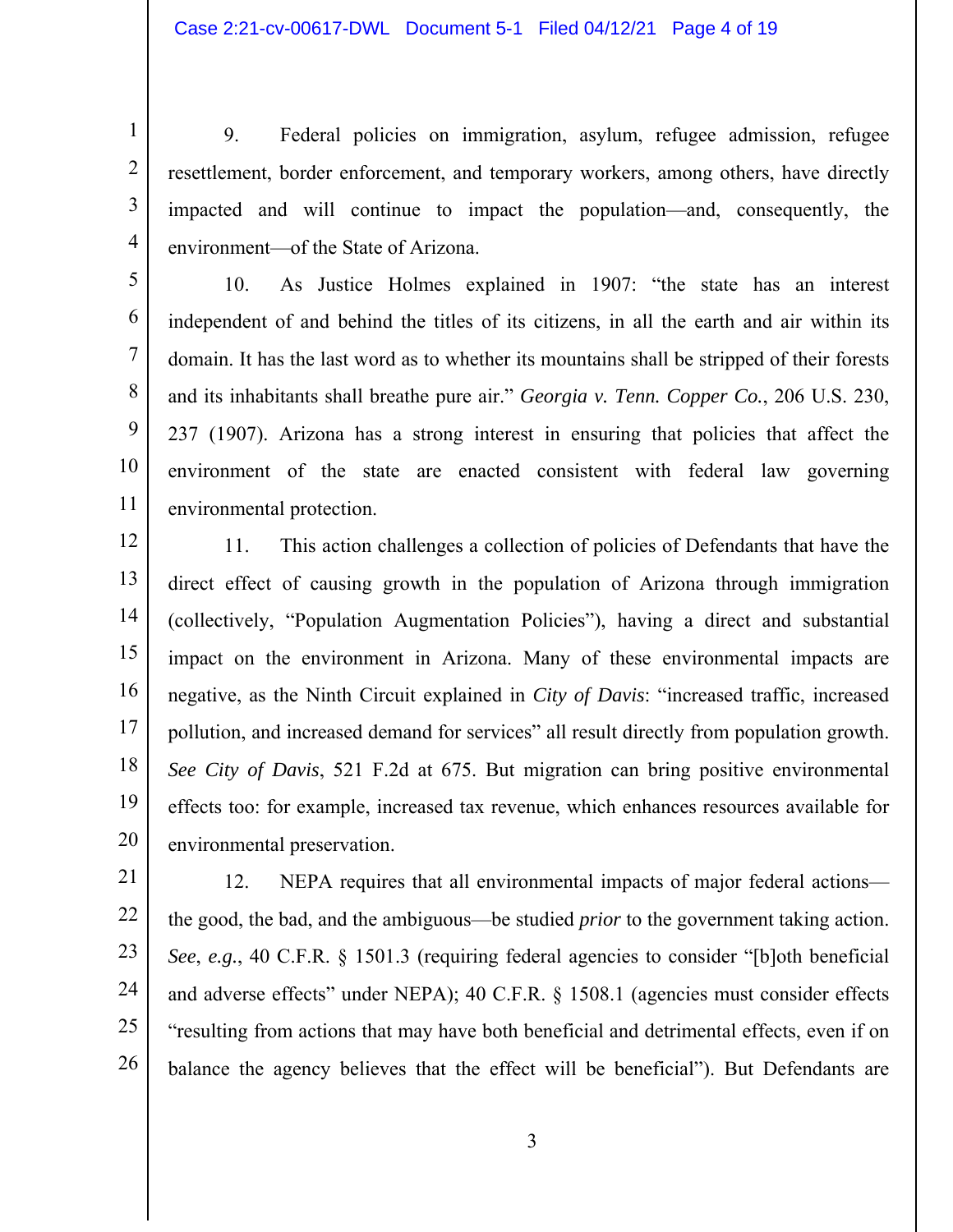2

3

4

9. Federal policies on immigration, asylum, refugee admission, refugee resettlement, border enforcement, and temporary workers, among others, have directly impacted and will continue to impact the population—and, consequently, the environment—of the State of Arizona.

5 6 7 8 9 10 11 10. As Justice Holmes explained in 1907: "the state has an interest independent of and behind the titles of its citizens, in all the earth and air within its domain. It has the last word as to whether its mountains shall be stripped of their forests and its inhabitants shall breathe pure air." *Georgia v. Tenn. Copper Co.*, 206 U.S. 230, 237 (1907). Arizona has a strong interest in ensuring that policies that affect the environment of the state are enacted consistent with federal law governing environmental protection.

12 13 14 15 16 17 18 19 20 11. This action challenges a collection of policies of Defendants that have the direct effect of causing growth in the population of Arizona through immigration (collectively, "Population Augmentation Policies"), having a direct and substantial impact on the environment in Arizona. Many of these environmental impacts are negative, as the Ninth Circuit explained in *City of Davis*: "increased traffic, increased pollution, and increased demand for services" all result directly from population growth. *See City of Davis*, 521 F.2d at 675. But migration can bring positive environmental effects too: for example, increased tax revenue, which enhances resources available for environmental preservation.

21 22 23 24 25 26 12. NEPA requires that all environmental impacts of major federal actions the good, the bad, and the ambiguous—be studied *prior* to the government taking action. *See*, *e.g.*, 40 C.F.R. § 1501.3 (requiring federal agencies to consider "[b]oth beneficial and adverse effects" under NEPA); 40 C.F.R. § 1508.1 (agencies must consider effects "resulting from actions that may have both beneficial and detrimental effects, even if on balance the agency believes that the effect will be beneficial"). But Defendants are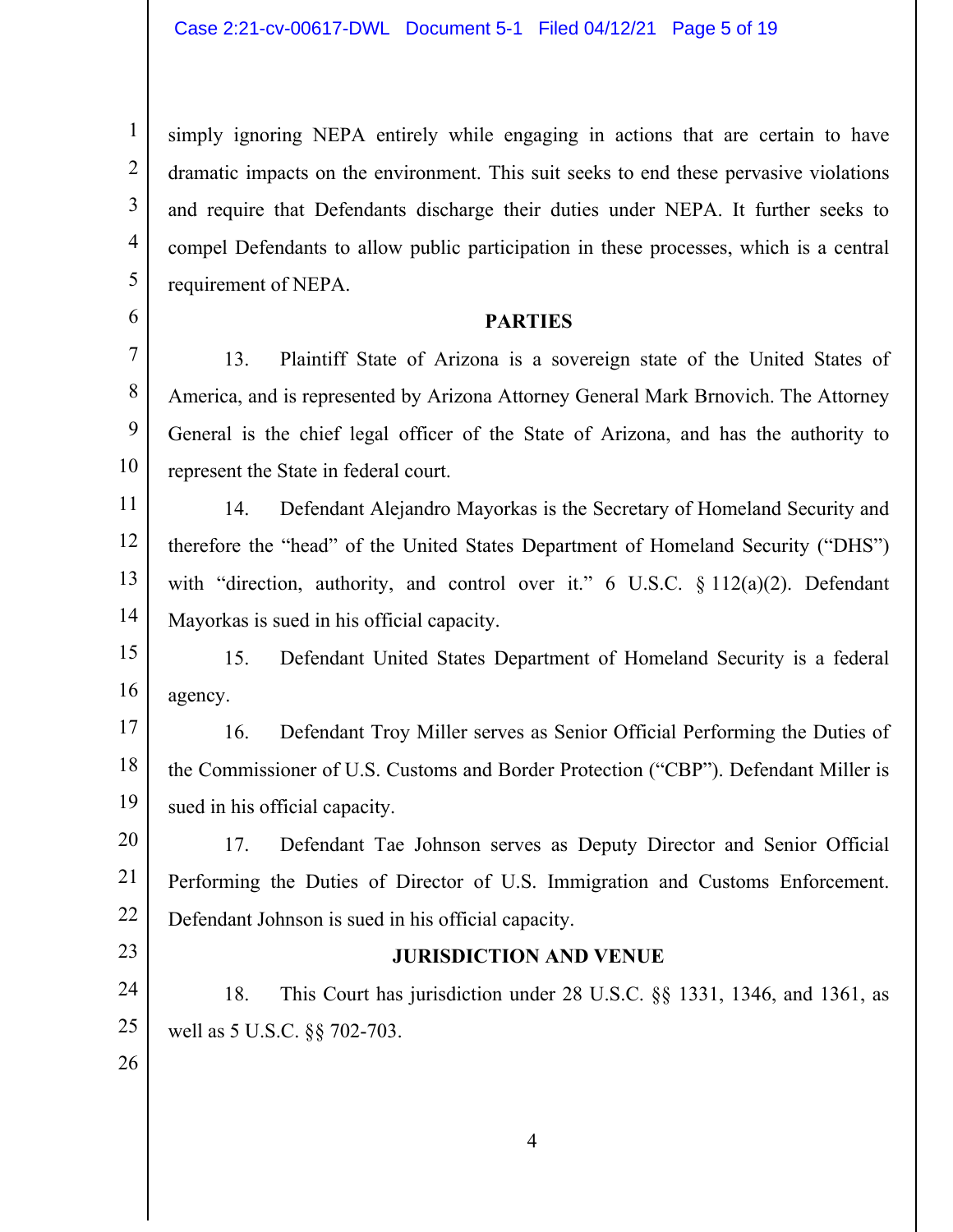simply ignoring NEPA entirely while engaging in actions that are certain to have dramatic impacts on the environment. This suit seeks to end these pervasive violations and require that Defendants discharge their duties under NEPA. It further seeks to compel Defendants to allow public participation in these processes, which is a central requirement of NEPA.

#### **PARTIES**

13. Plaintiff State of Arizona is a sovereign state of the United States of America, and is represented by Arizona Attorney General Mark Brnovich. The Attorney General is the chief legal officer of the State of Arizona, and has the authority to represent the State in federal court.

11 12 13 14 14. Defendant Alejandro Mayorkas is the Secretary of Homeland Security and therefore the "head" of the United States Department of Homeland Security ("DHS") with "direction, authority, and control over it." 6 U.S.C.  $\S 112(a)(2)$ . Defendant Mayorkas is sued in his official capacity.

15 16 15. Defendant United States Department of Homeland Security is a federal agency.

17 18 19 16. Defendant Troy Miller serves as Senior Official Performing the Duties of the Commissioner of U.S. Customs and Border Protection ("CBP"). Defendant Miller is sued in his official capacity.

20 21 22 17. Defendant Tae Johnson serves as Deputy Director and Senior Official Performing the Duties of Director of U.S. Immigration and Customs Enforcement. Defendant Johnson is sued in his official capacity.

23

1

2

3

4

5

6

7

8

9

10

## **JURISDICTION AND VENUE**

24 25 18. This Court has jurisdiction under 28 U.S.C. §§ 1331, 1346, and 1361, as well as 5 U.S.C. §§ 702-703.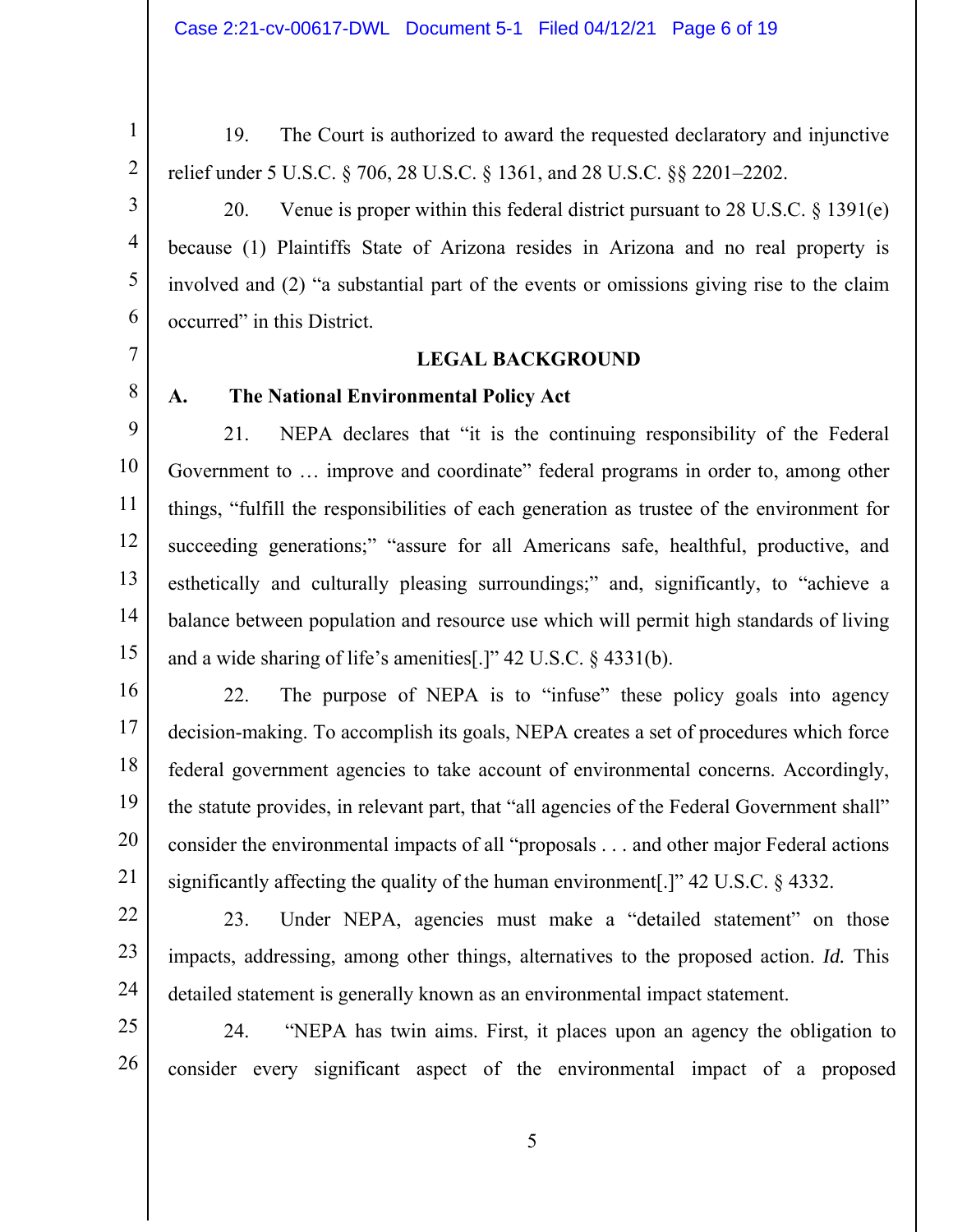4

5

6

1

19. The Court is authorized to award the requested declaratory and injunctive relief under 5 U.S.C. § 706, 28 U.S.C. § 1361, and 28 U.S.C. §§ 2201–2202.

20. Venue is proper within this federal district pursuant to 28 U.S.C. § 1391(e) because (1) Plaintiffs State of Arizona resides in Arizona and no real property is involved and (2) "a substantial part of the events or omissions giving rise to the claim occurred" in this District.

# 7

8

### **LEGAL BACKGROUND**

**A. The National Environmental Policy Act** 

9 10 11 12 13 14 15 21. NEPA declares that "it is the continuing responsibility of the Federal Government to … improve and coordinate" federal programs in order to, among other things, "fulfill the responsibilities of each generation as trustee of the environment for succeeding generations;" "assure for all Americans safe, healthful, productive, and esthetically and culturally pleasing surroundings;" and, significantly, to "achieve a balance between population and resource use which will permit high standards of living and a wide sharing of life's amenities[.]" 42 U.S.C. § 4331(b).

16 17 18 19 20 21 22. The purpose of NEPA is to "infuse" these policy goals into agency decision-making. To accomplish its goals, NEPA creates a set of procedures which force federal government agencies to take account of environmental concerns. Accordingly, the statute provides, in relevant part, that "all agencies of the Federal Government shall" consider the environmental impacts of all "proposals . . . and other major Federal actions significantly affecting the quality of the human environment[.]" 42 U.S.C. § 4332.

- 22
- 23
- 24

23. Under NEPA, agencies must make a "detailed statement" on those impacts, addressing, among other things, alternatives to the proposed action. *Id.* This detailed statement is generally known as an environmental impact statement.

25 26 24. "NEPA has twin aims. First, it places upon an agency the obligation to consider every significant aspect of the environmental impact of a proposed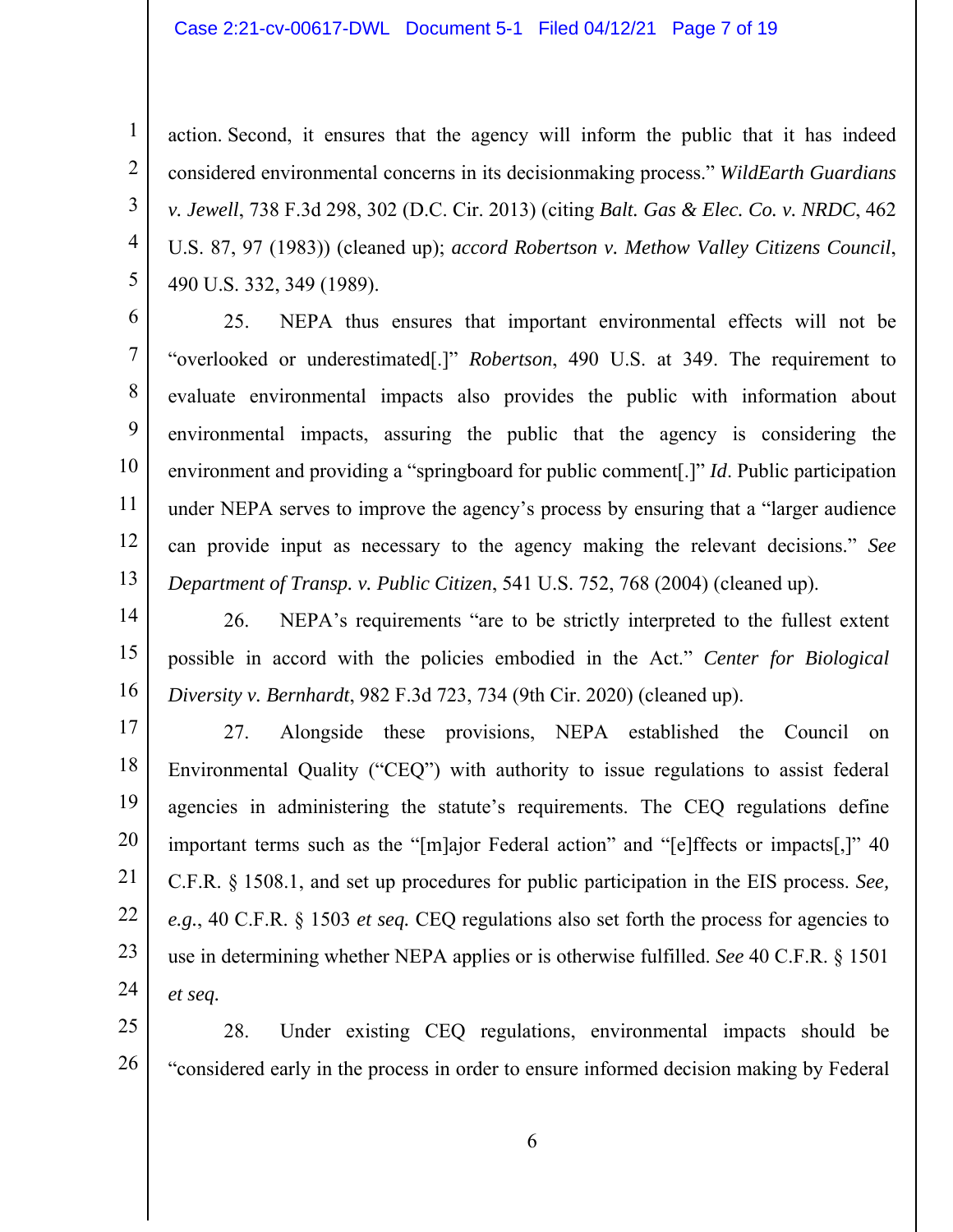#### Case 2:21-cv-00617-DWL Document 5-1 Filed 04/12/21 Page 7 of 19

1

2

3

4

5

11

12

13

action. Second, it ensures that the agency will inform the public that it has indeed considered environmental concerns in its decisionmaking process." *WildEarth Guardians v. Jewell*, 738 F.3d 298, 302 (D.C. Cir. 2013) (citing *Balt. Gas & Elec. Co. v. NRDC*, 462 U.S. 87, 97 (1983)) (cleaned up); *accord Robertson v. Methow Valley Citizens Council*, 490 U.S. 332, 349 (1989).

6 7 8 9 10 25. NEPA thus ensures that important environmental effects will not be "overlooked or underestimated[.]" *Robertson*, 490 U.S. at 349. The requirement to evaluate environmental impacts also provides the public with information about environmental impacts, assuring the public that the agency is considering the environment and providing a "springboard for public comment[.]" *Id*. Public participation under NEPA serves to improve the agency's process by ensuring that a "larger audience can provide input as necessary to the agency making the relevant decisions." *See Department of Transp. v. Public Citizen*, 541 U.S. 752, 768 (2004) (cleaned up).

14 15 16 26. NEPA's requirements "are to be strictly interpreted to the fullest extent possible in accord with the policies embodied in the Act." *Center for Biological Diversity v. Bernhardt*, 982 F.3d 723, 734 (9th Cir. 2020) (cleaned up).

17 18 19 20 21 22 23 24 27. Alongside these provisions, NEPA established the Council on Environmental Quality ("CEQ") with authority to issue regulations to assist federal agencies in administering the statute's requirements. The CEQ regulations define important terms such as the "[m]ajor Federal action" and "[e]ffects or impacts[,]" 40 C.F.R. § 1508.1, and set up procedures for public participation in the EIS process. *See, e.g.*, 40 C.F.R. § 1503 *et seq.* CEQ regulations also set forth the process for agencies to use in determining whether NEPA applies or is otherwise fulfilled. *See* 40 C.F.R. § 1501 *et seq.*

25 26 28. Under existing CEQ regulations, environmental impacts should be "considered early in the process in order to ensure informed decision making by Federal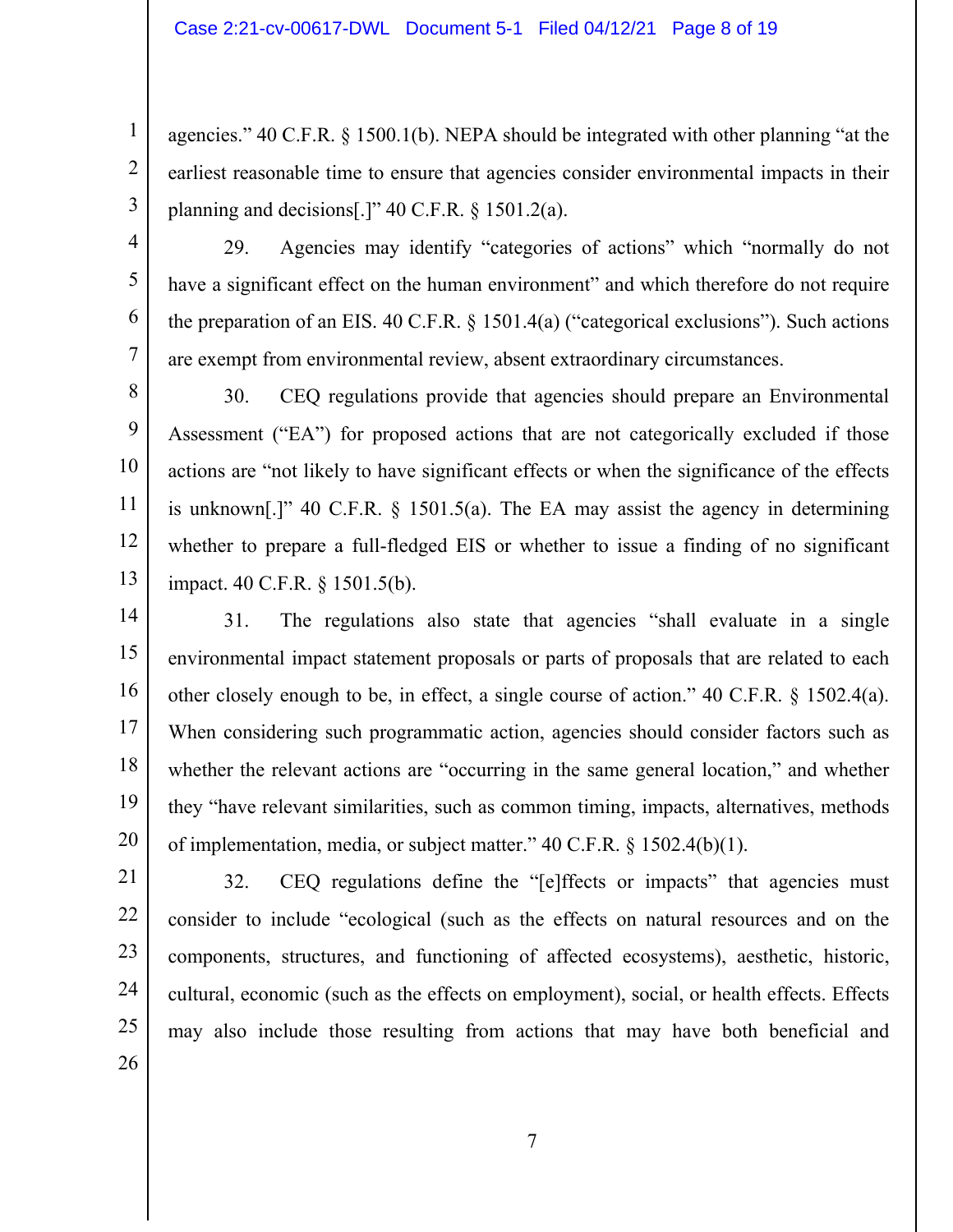agencies." 40 C.F.R. § 1500.1(b). NEPA should be integrated with other planning "at the earliest reasonable time to ensure that agencies consider environmental impacts in their planning and decisions[.]"  $40$  C.F.R. § 1501.2(a).

4 5 6 7 29. Agencies may identify "categories of actions" which "normally do not have a significant effect on the human environment" and which therefore do not require the preparation of an EIS. 40 C.F.R. § 1501.4(a) ("categorical exclusions"). Such actions are exempt from environmental review, absent extraordinary circumstances.

8 9 10 11 12 13 30. CEQ regulations provide that agencies should prepare an Environmental Assessment ("EA") for proposed actions that are not categorically excluded if those actions are "not likely to have significant effects or when the significance of the effects is unknown[.]" 40 C.F.R. § 1501.5(a). The EA may assist the agency in determining whether to prepare a full-fledged EIS or whether to issue a finding of no significant impact. 40 C.F.R. § 1501.5(b).

14 15 16 17 18 19 20 31. The regulations also state that agencies "shall evaluate in a single environmental impact statement proposals or parts of proposals that are related to each other closely enough to be, in effect, a single course of action." 40 C.F.R. § 1502.4(a). When considering such programmatic action, agencies should consider factors such as whether the relevant actions are "occurring in the same general location," and whether they "have relevant similarities, such as common timing, impacts, alternatives, methods of implementation, media, or subject matter." 40 C.F.R. § 1502.4(b)(1).

26

1

2

3

32. CEQ regulations define the "[e]ffects or impacts" that agencies must consider to include "ecological (such as the effects on natural resources and on the components, structures, and functioning of affected ecosystems), aesthetic, historic, cultural, economic (such as the effects on employment), social, or health effects. Effects may also include those resulting from actions that may have both beneficial and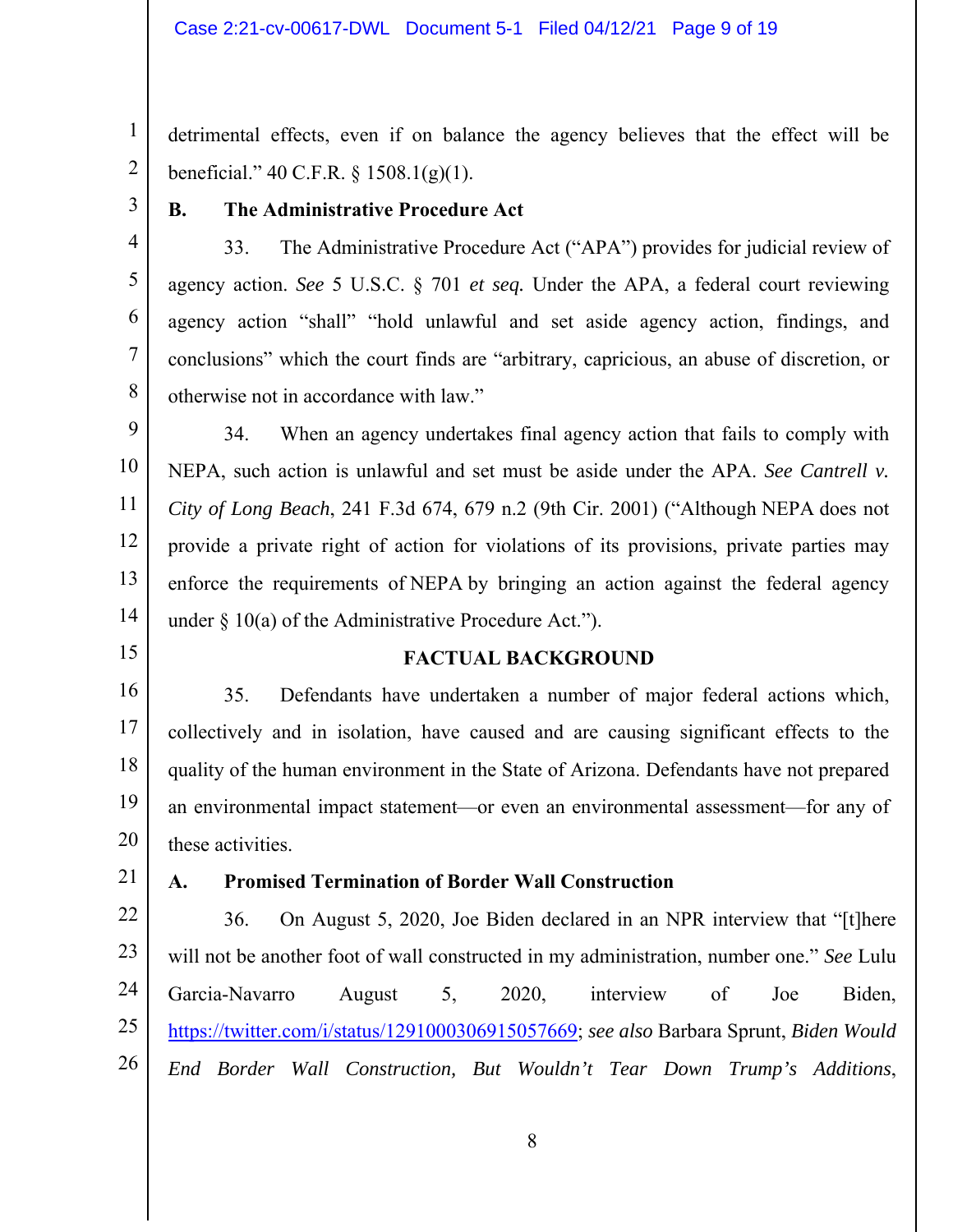#### Case 2:21-cv-00617-DWL Document 5-1 Filed 04/12/21 Page 9 of 19

detrimental effects, even if on balance the agency believes that the effect will be beneficial." 40 C.F.R. § 1508.1(g)(1).

3

4

5

6

7

8

1

2

## **B. The Administrative Procedure Act**

33. The Administrative Procedure Act ("APA") provides for judicial review of agency action. *See* 5 U.S.C. § 701 *et seq.* Under the APA, a federal court reviewing agency action "shall" "hold unlawful and set aside agency action, findings, and conclusions" which the court finds are "arbitrary, capricious, an abuse of discretion, or otherwise not in accordance with law."

9 10 11 12 13 14 34. When an agency undertakes final agency action that fails to comply with NEPA, such action is unlawful and set must be aside under the APA. *See Cantrell v. City of Long Beach*, 241 F.3d 674, 679 n.2 (9th Cir. 2001) ("Although NEPA does not provide a private right of action for violations of its provisions, private parties may enforce the requirements of NEPA by bringing an action against the federal agency under  $\S$  10(a) of the Administrative Procedure Act.").

15

#### **FACTUAL BACKGROUND**

16 17 18 19 20 35. Defendants have undertaken a number of major federal actions which, collectively and in isolation, have caused and are causing significant effects to the quality of the human environment in the State of Arizona. Defendants have not prepared an environmental impact statement—or even an environmental assessment—for any of these activities.

21

#### **A. Promised Termination of Border Wall Construction**

22 23 24 25 26 36. On August 5, 2020, Joe Biden declared in an NPR interview that "[t]here will not be another foot of wall constructed in my administration, number one." *See* Lulu Garcia-Navarro August 5, 2020, interview of Joe Biden, https://twitter.com/i/status/1291000306915057669; *see also* Barbara Sprunt, *Biden Would End Border Wall Construction, But Wouldn't Tear Down Trump's Additions*,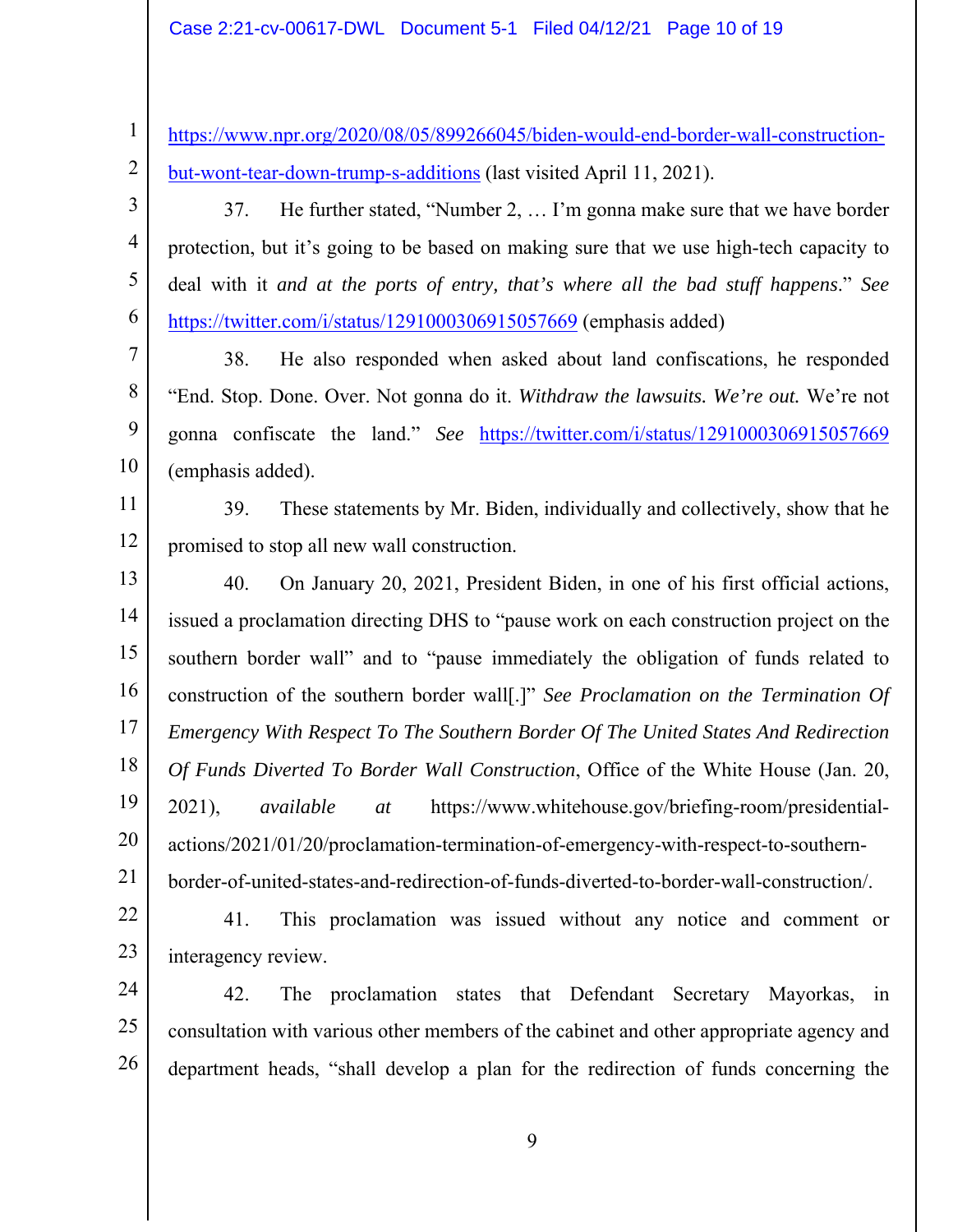1

11

https://www.npr.org/2020/08/05/899266045/biden-would-end-border-wall-constructionbut-wont-tear-down-trump-s-additions (last visited April 11, 2021).

37. He further stated, "Number 2, … I'm gonna make sure that we have border protection, but it's going to be based on making sure that we use high-tech capacity to deal with it *and at the ports of entry, that's where all the bad stuff happens*." *See*  https://twitter.com/i/status/1291000306915057669 (emphasis added)

38. He also responded when asked about land confiscations, he responded "End. Stop. Done. Over. Not gonna do it. *Withdraw the lawsuits. We're out.* We're not gonna confiscate the land." *See* https://twitter.com/i/status/1291000306915057669 (emphasis added).

12 39. These statements by Mr. Biden, individually and collectively, show that he promised to stop all new wall construction.

13 14 15 16 17 18 19 20 21 40. On January 20, 2021, President Biden, in one of his first official actions, issued a proclamation directing DHS to "pause work on each construction project on the southern border wall" and to "pause immediately the obligation of funds related to construction of the southern border wall[.]" *See Proclamation on the Termination Of Emergency With Respect To The Southern Border Of The United States And Redirection Of Funds Diverted To Border Wall Construction*, Office of the White House (Jan. 20, 2021), *available at* https://www.whitehouse.gov/briefing-room/presidentialactions/2021/01/20/proclamation-termination-of-emergency-with-respect-to-southernborder-of-united-states-and-redirection-of-funds-diverted-to-border-wall-construction/.

22

23 41. This proclamation was issued without any notice and comment or interagency review.

24 25 26 42. The proclamation states that Defendant Secretary Mayorkas, in consultation with various other members of the cabinet and other appropriate agency and department heads, "shall develop a plan for the redirection of funds concerning the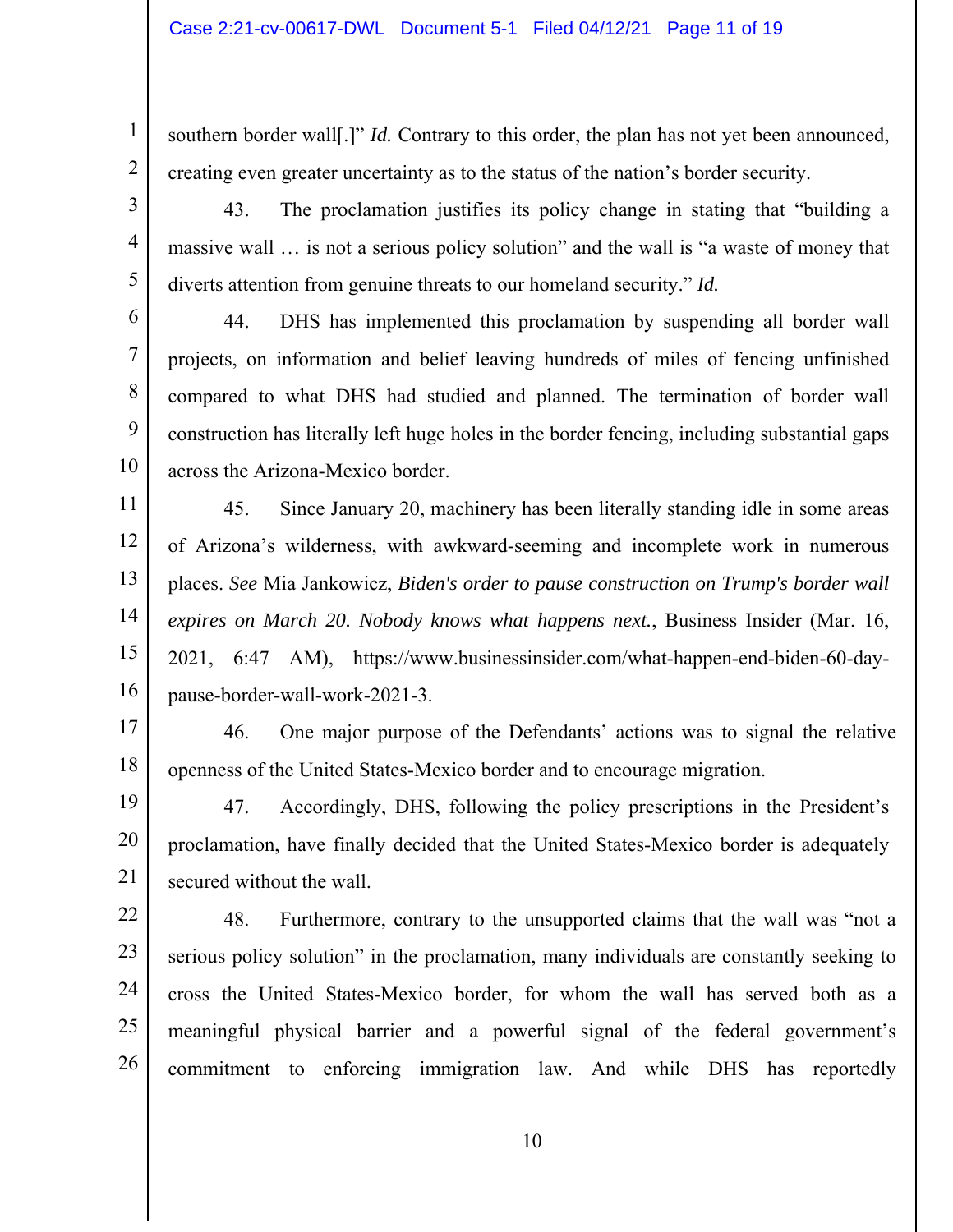2

3

4

5

6

7

8

9

10

southern border wall[.]" *Id.* Contrary to this order, the plan has not yet been announced, creating even greater uncertainty as to the status of the nation's border security.

43. The proclamation justifies its policy change in stating that "building a massive wall … is not a serious policy solution" and the wall is "a waste of money that diverts attention from genuine threats to our homeland security." *Id.* 

44. DHS has implemented this proclamation by suspending all border wall projects, on information and belief leaving hundreds of miles of fencing unfinished compared to what DHS had studied and planned. The termination of border wall construction has literally left huge holes in the border fencing, including substantial gaps across the Arizona-Mexico border.

11 12 13 14 15 16 45. Since January 20, machinery has been literally standing idle in some areas of Arizona's wilderness, with awkward-seeming and incomplete work in numerous places. *See* Mia Jankowicz, *Biden's order to pause construction on Trump's border wall expires on March 20. Nobody knows what happens next.*, Business Insider (Mar. 16, 2021, 6:47 AM), https://www.businessinsider.com/what-happen-end-biden-60-daypause-border-wall-work-2021-3.

17 18 46. One major purpose of the Defendants' actions was to signal the relative openness of the United States-Mexico border and to encourage migration.

19 20 21 47. Accordingly, DHS, following the policy prescriptions in the President's proclamation, have finally decided that the United States-Mexico border is adequately secured without the wall.

22 23 24 25 26 48. Furthermore, contrary to the unsupported claims that the wall was "not a serious policy solution" in the proclamation, many individuals are constantly seeking to cross the United States-Mexico border, for whom the wall has served both as a meaningful physical barrier and a powerful signal of the federal government's commitment to enforcing immigration law. And while DHS has reportedly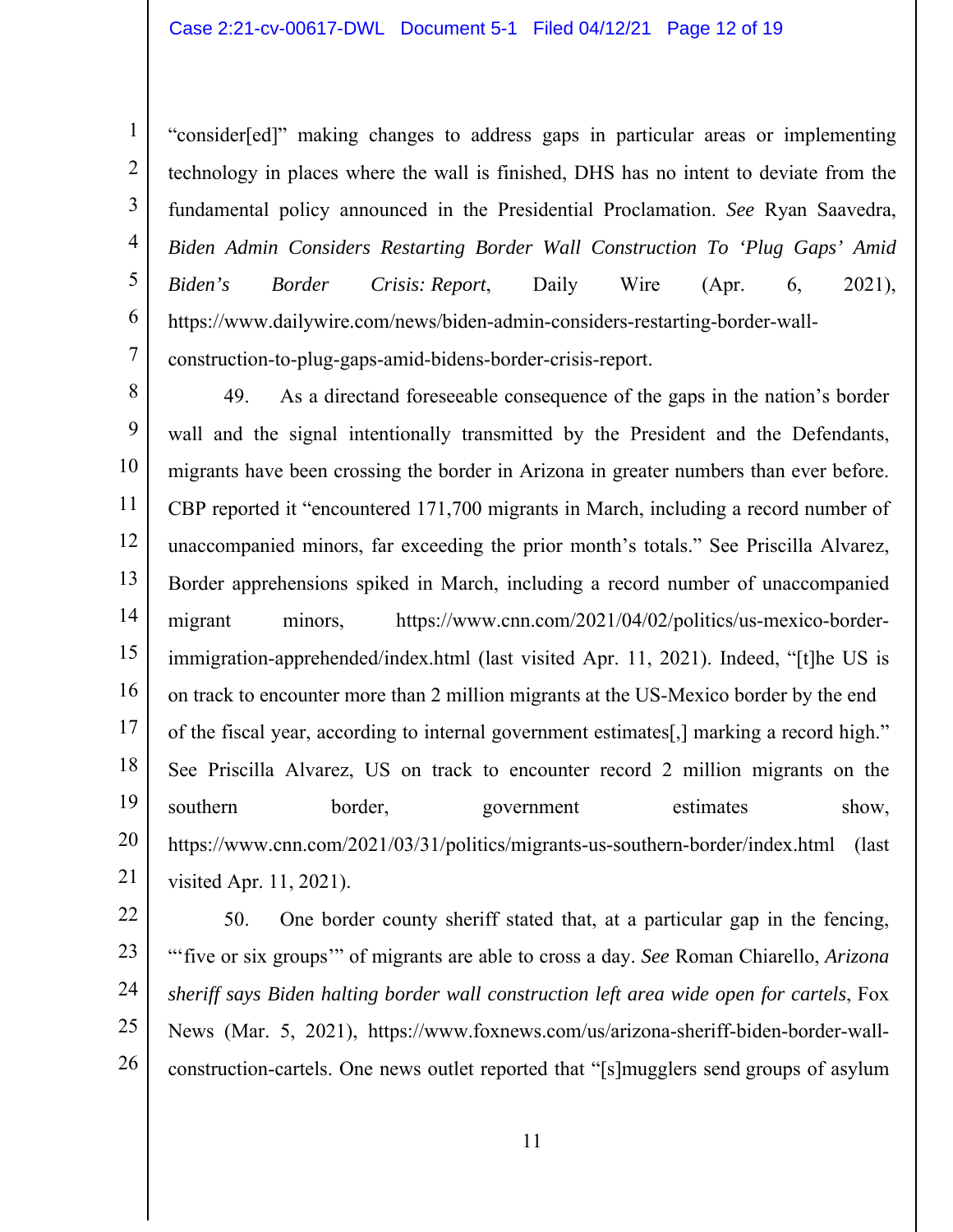2

3

4

5

6

7

"consider[ed]" making changes to address gaps in particular areas or implementing technology in places where the wall is finished, DHS has no intent to deviate from the fundamental policy announced in the Presidential Proclamation. *See* Ryan Saavedra, *Biden Admin Considers Restarting Border Wall Construction To 'Plug Gaps' Amid Biden's Border Crisis: Report*, Daily Wire (Apr. 6, 2021), https://www.dailywire.com/news/biden-admin-considers-restarting-border-wallconstruction-to-plug-gaps-amid-bidens-border-crisis-report.

8 9 10 11 12 13 14 15 16 17 18 19 20 21 49. As a directand foreseeable consequence of the gaps in the nation's border wall and the signal intentionally transmitted by the President and the Defendants, migrants have been crossing the border in Arizona in greater numbers than ever before. CBP reported it "encountered 171,700 migrants in March, including a record number of unaccompanied minors, far exceeding the prior month's totals." See Priscilla Alvarez, Border apprehensions spiked in March, including a record number of unaccompanied migrant minors, https://www.cnn.com/2021/04/02/politics/us-mexico-borderimmigration-apprehended/index.html (last visited Apr. 11, 2021). Indeed, "[t]he US is on track to encounter more than 2 million migrants at the US‐Mexico border by the end of the fiscal year, according to internal government estimates[,] marking a record high." See Priscilla Alvarez, US on track to encounter record 2 million migrants on the southern border, government estimates show, https://www.cnn.com/2021/03/31/politics/migrants-us-southern-border/index.html (last visited Apr. 11, 2021).

22 23 24 25 26 50. One border county sheriff stated that, at a particular gap in the fencing, "'five or six groups'" of migrants are able to cross a day. *See* Roman Chiarello, *Arizona sheriff says Biden halting border wall construction left area wide open for cartels*, Fox News (Mar. 5, 2021), https://www.foxnews.com/us/arizona-sheriff-biden-border-wallconstruction-cartels. One news outlet reported that "[s]mugglers send groups of asylum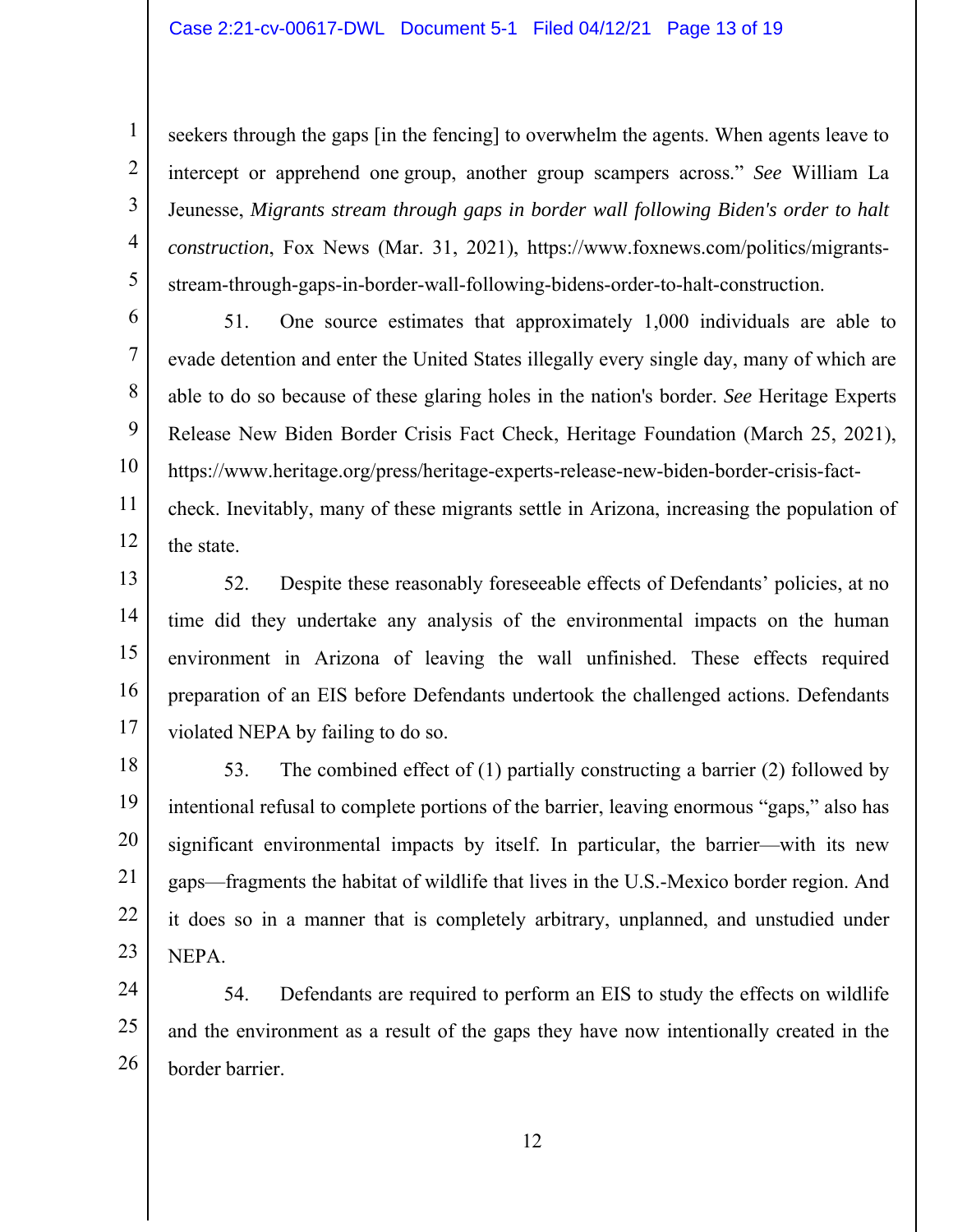2

3

4

5

seekers through the gaps [in the fencing] to overwhelm the agents. When agents leave to intercept or apprehend one group, another group scampers across." *See* William La Jeunesse, *Migrants stream through gaps in border wall following Biden's order to halt construction*, Fox News (Mar. 31, 2021), https://www.foxnews.com/politics/migrantsstream-through-gaps-in-border-wall-following-bidens-order-to-halt-construction.

6 7 8 9 10 11 12 51. One source estimates that approximately 1,000 individuals are able to evade detention and enter the United States illegally every single day, many of which are able to do so because of these glaring holes in the nation's border. *See* Heritage Experts Release New Biden Border Crisis Fact Check, Heritage Foundation (March 25, 2021), https://www.heritage.org/press/heritage-experts-release-new-biden-border-crisis-factcheck. Inevitably, many of these migrants settle in Arizona, increasing the population of the state.

13 14 15 16 17 52. Despite these reasonably foreseeable effects of Defendants' policies, at no time did they undertake any analysis of the environmental impacts on the human environment in Arizona of leaving the wall unfinished. These effects required preparation of an EIS before Defendants undertook the challenged actions. Defendants violated NEPA by failing to do so.

18 19 20 21 22 23 53. The combined effect of (1) partially constructing a barrier (2) followed by intentional refusal to complete portions of the barrier, leaving enormous "gaps," also has significant environmental impacts by itself. In particular, the barrier—with its new gaps—fragments the habitat of wildlife that lives in the U.S.-Mexico border region. And it does so in a manner that is completely arbitrary, unplanned, and unstudied under NEPA.

24 25 26 54. Defendants are required to perform an EIS to study the effects on wildlife and the environment as a result of the gaps they have now intentionally created in the border barrier.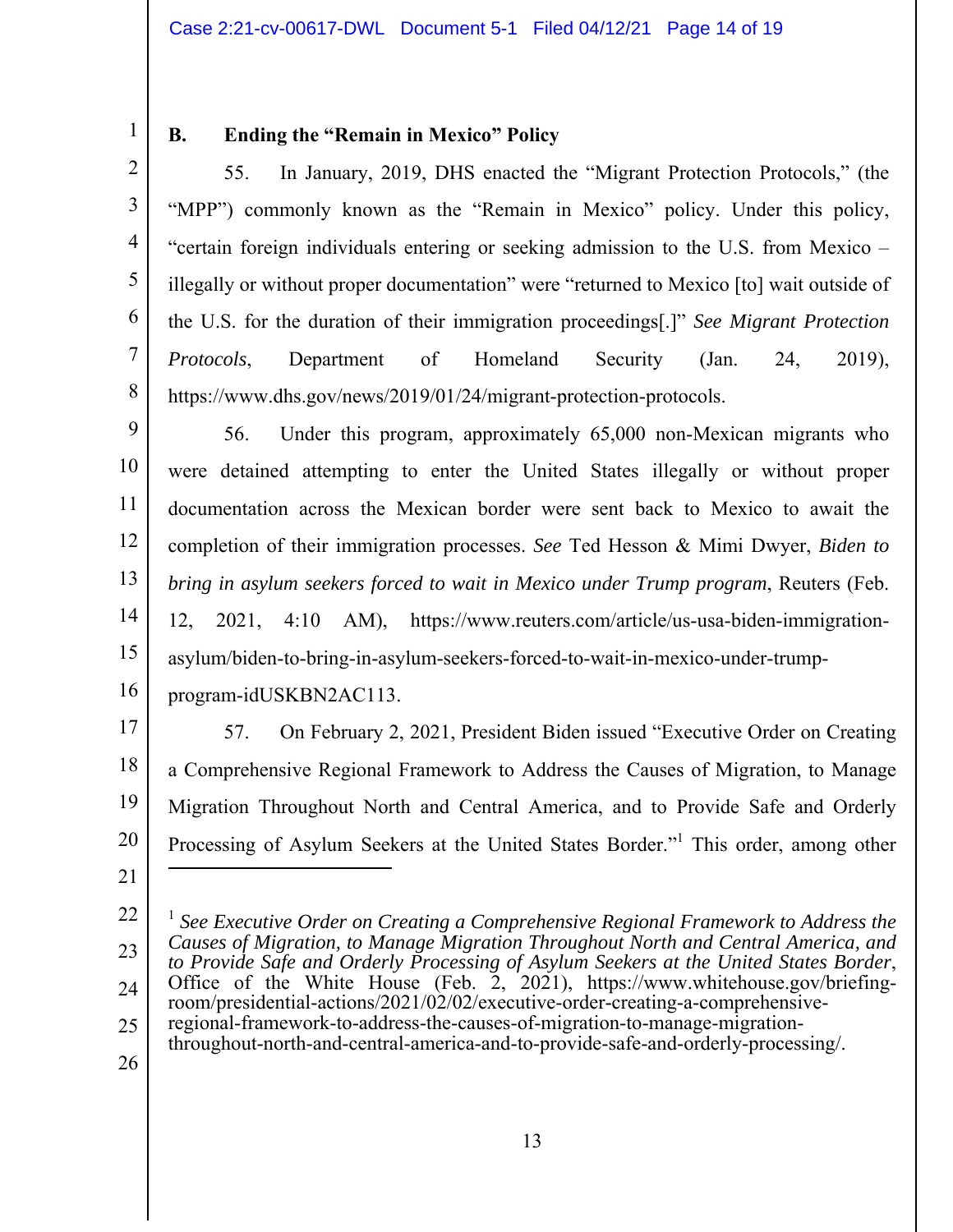3

4

5

6

7

8

# **B. Ending the "Remain in Mexico" Policy**

55. In January, 2019, DHS enacted the "Migrant Protection Protocols," (the "MPP") commonly known as the "Remain in Mexico" policy. Under this policy, "certain foreign individuals entering or seeking admission to the U.S. from Mexico – illegally or without proper documentation" were "returned to Mexico [to] wait outside of the U.S. for the duration of their immigration proceedings[.]" *See Migrant Protection Protocols*, Department of Homeland Security (Jan. 24, 2019), https://www.dhs.gov/news/2019/01/24/migrant-protection-protocols.

9 10 11 12 13 14 15 16 56. Under this program, approximately 65,000 non-Mexican migrants who were detained attempting to enter the United States illegally or without proper documentation across the Mexican border were sent back to Mexico to await the completion of their immigration processes. *See* Ted Hesson & Mimi Dwyer, *Biden to bring in asylum seekers forced to wait in Mexico under Trump program*, Reuters (Feb. 12, 2021, 4:10 AM), https://www.reuters.com/article/us-usa-biden-immigrationasylum/biden-to-bring-in-asylum-seekers-forced-to-wait-in-mexico-under-trumpprogram-idUSKBN2AC113.

17

18 19 20 57. On February 2, 2021, President Biden issued "Executive Order on Creating a Comprehensive Regional Framework to Address the Causes of Migration, to Manage Migration Throughout North and Central America, and to Provide Safe and Orderly Processing of Asylum Seekers at the United States Border."<sup>1</sup> This order, among other 

- throughout-north-and-central-america-and-to-provide-safe-and-orderly-processing/.
- 26

<sup>22</sup>  23 24 25 <sup>1</sup> See Executive Order on Creating a Comprehensive Regional Framework to Address the *Causes of Migration, to Manage Migration Throughout North and Central America, and to Provide Safe and Orderly Processing of Asylum Seekers at the United States Border*, Office of the White House (Feb. 2, 2021), https://www.whitehouse.gov/briefingroom/presidential-actions/2021/02/02/executive-order-creating-a-comprehensiveregional-framework-to-address-the-causes-of-migration-to-manage-migration-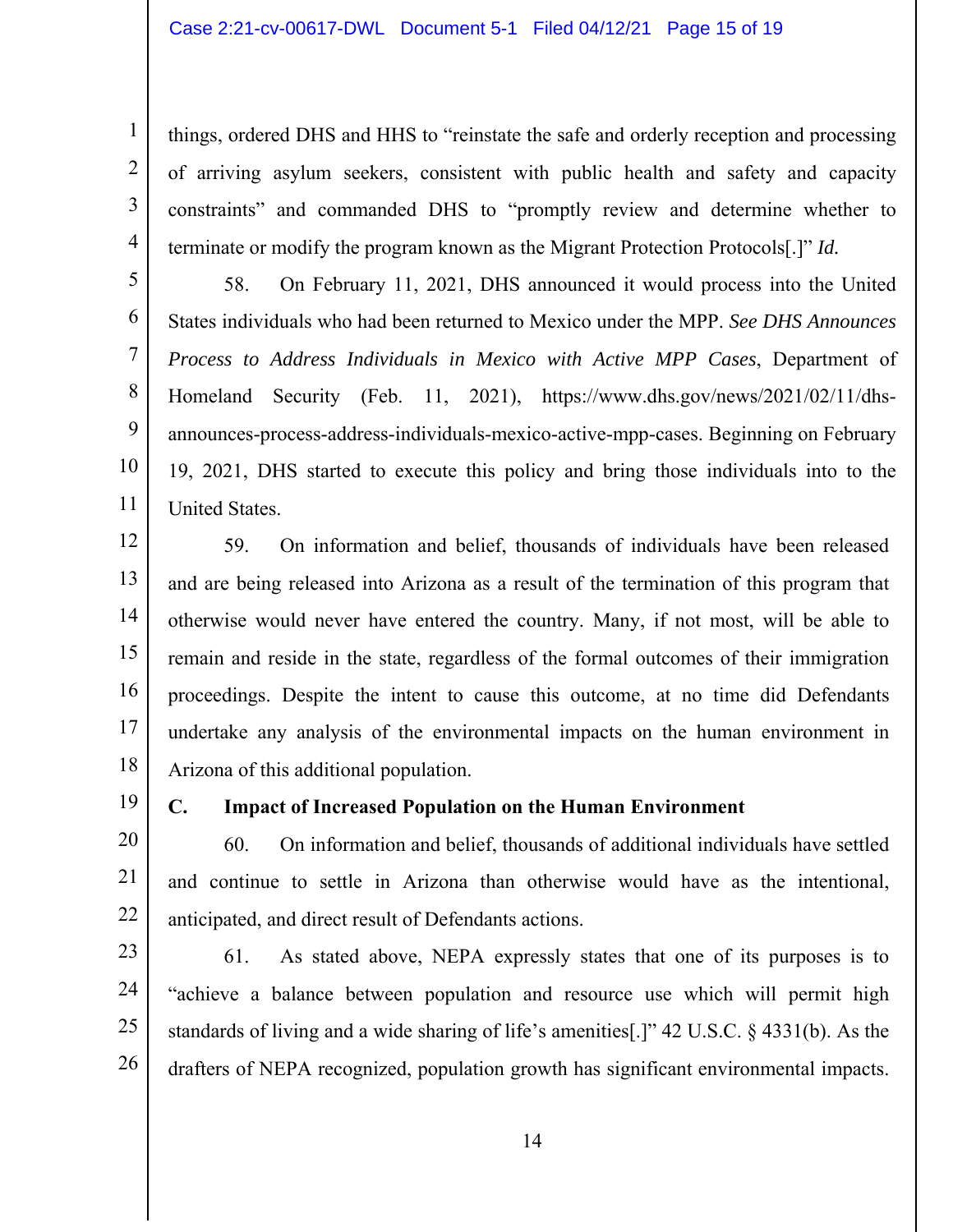things, ordered DHS and HHS to "reinstate the safe and orderly reception and processing of arriving asylum seekers, consistent with public health and safety and capacity constraints" and commanded DHS to "promptly review and determine whether to terminate or modify the program known as the Migrant Protection Protocols[.]" *Id.*

6 58. On February 11, 2021, DHS announced it would process into the United States individuals who had been returned to Mexico under the MPP. *See DHS Announces Process to Address Individuals in Mexico with Active MPP Cases*, Department of Homeland Security (Feb. 11, 2021), https://www.dhs.gov/news/2021/02/11/dhsannounces-process-address-individuals-mexico-active-mpp-cases. Beginning on February 19, 2021, DHS started to execute this policy and bring those individuals into to the United States.

12 13 14 15 16 17 18 59. On information and belief, thousands of individuals have been released and are being released into Arizona as a result of the termination of this program that otherwise would never have entered the country. Many, if not most, will be able to remain and reside in the state, regardless of the formal outcomes of their immigration proceedings. Despite the intent to cause this outcome, at no time did Defendants undertake any analysis of the environmental impacts on the human environment in Arizona of this additional population.

19

1

2

3

4

5

7

8

9

10

11

## **C. Impact of Increased Population on the Human Environment**

20 21 22 60. On information and belief, thousands of additional individuals have settled and continue to settle in Arizona than otherwise would have as the intentional, anticipated, and direct result of Defendants actions.

23 24 25 26 61. As stated above, NEPA expressly states that one of its purposes is to "achieve a balance between population and resource use which will permit high standards of living and a wide sharing of life's amenities[.]" 42 U.S.C. § 4331(b). As the drafters of NEPA recognized, population growth has significant environmental impacts.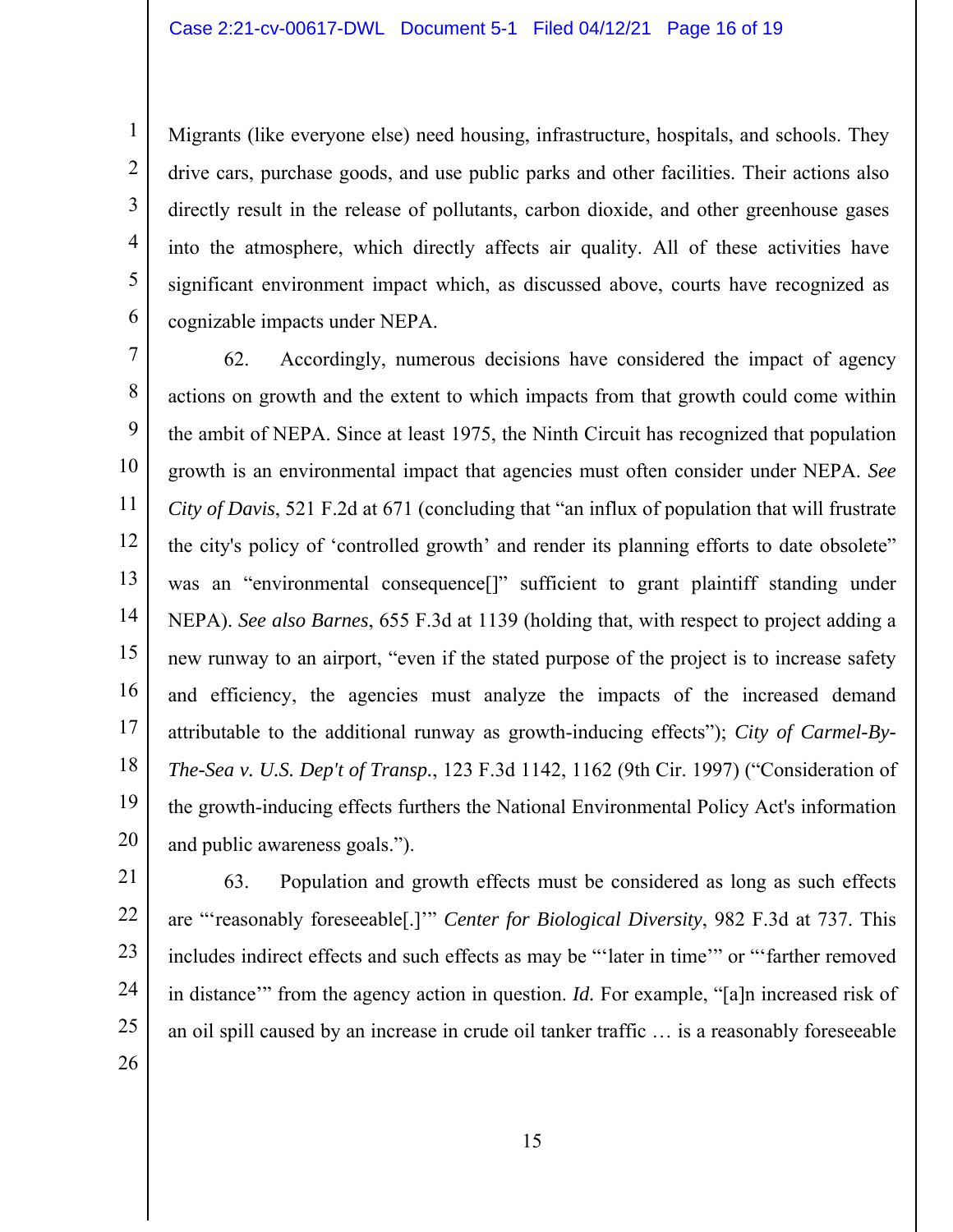Migrants (like everyone else) need housing, infrastructure, hospitals, and schools. They drive cars, purchase goods, and use public parks and other facilities. Their actions also directly result in the release of pollutants, carbon dioxide, and other greenhouse gases into the atmosphere, which directly affects air quality. All of these activities have significant environment impact which, as discussed above, courts have recognized as cognizable impacts under NEPA.

7 8 9 10 11 12 13 14 15 16 17 18 19 20 62. Accordingly, numerous decisions have considered the impact of agency actions on growth and the extent to which impacts from that growth could come within the ambit of NEPA. Since at least 1975, the Ninth Circuit has recognized that population growth is an environmental impact that agencies must often consider under NEPA. *See City of Davis*, 521 F.2d at 671 (concluding that "an influx of population that will frustrate the city's policy of 'controlled growth' and render its planning efforts to date obsolete" was an "environmental consequence<sup>[]"</sup> sufficient to grant plaintiff standing under NEPA). *See also Barnes*, 655 F.3d at 1139 (holding that, with respect to project adding a new runway to an airport, "even if the stated purpose of the project is to increase safety and efficiency, the agencies must analyze the impacts of the increased demand attributable to the additional runway as growth-inducing effects"); *City of Carmel-By-The-Sea v. U.S. Dep't of Transp.*, 123 F.3d 1142, 1162 (9th Cir. 1997) ("Consideration of the growth-inducing effects furthers the National Environmental Policy Act's information and public awareness goals.").

21

23

24

25

26

1

2

3

4

5

6

22

63. Population and growth effects must be considered as long as such effects are "'reasonably foreseeable[.]'" *Center for Biological Diversity*, 982 F.3d at 737. This includes indirect effects and such effects as may be "'later in time'" or "'farther removed in distance'" from the agency action in question. *Id.* For example, "[a]n increased risk of an oil spill caused by an increase in crude oil tanker traffic … is a reasonably foreseeable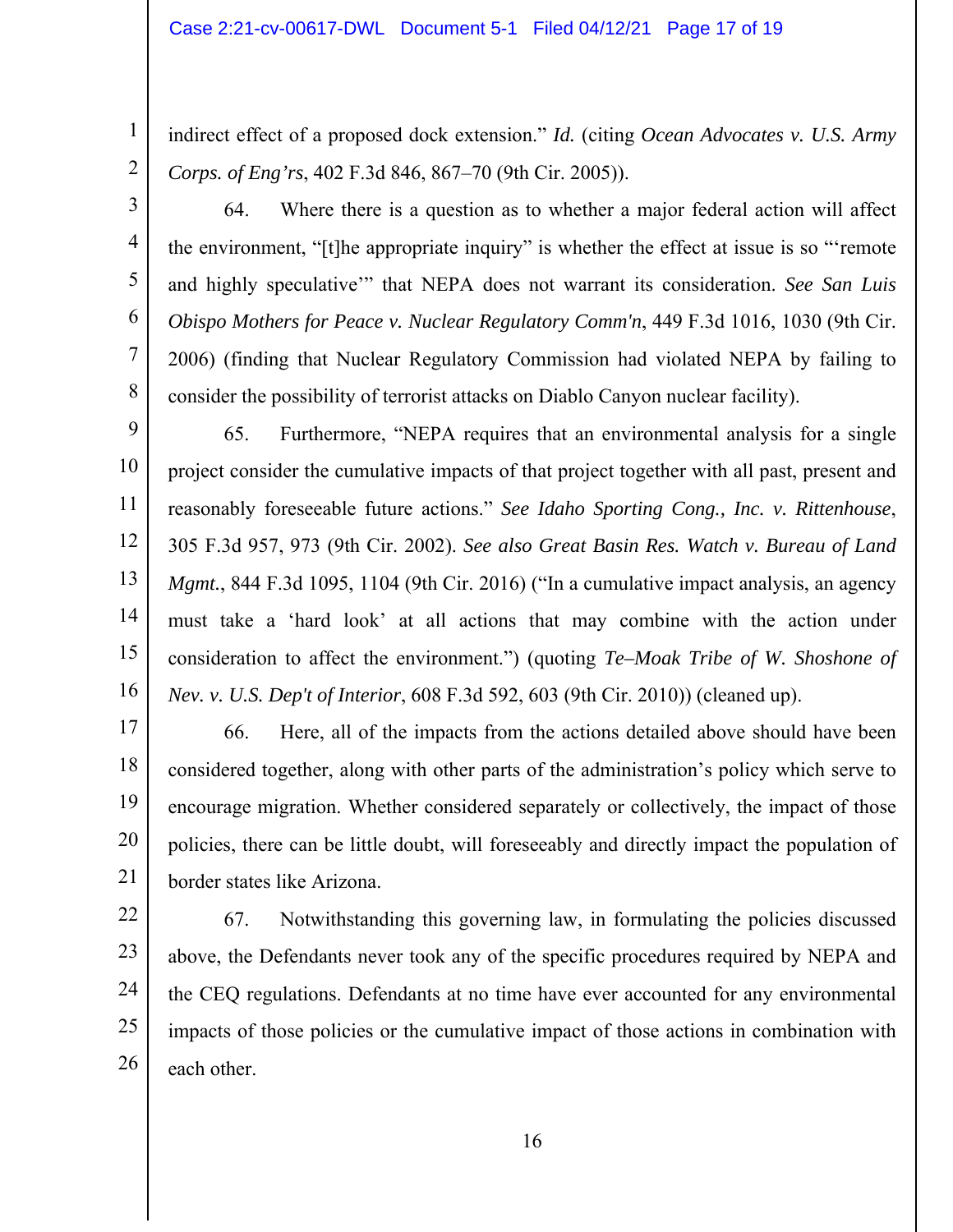2

3

4

5

6

7

8

indirect effect of a proposed dock extension." *Id.* (citing *Ocean Advocates v. U.S. Army Corps. of Eng'rs*, 402 F.3d 846, 867–70 (9th Cir. 2005)).

64. Where there is a question as to whether a major federal action will affect the environment, "[t]he appropriate inquiry" is whether the effect at issue is so "'remote and highly speculative'" that NEPA does not warrant its consideration. *See San Luis Obispo Mothers for Peace v. Nuclear Regulatory Comm'n*, 449 F.3d 1016, 1030 (9th Cir. 2006) (finding that Nuclear Regulatory Commission had violated NEPA by failing to consider the possibility of terrorist attacks on Diablo Canyon nuclear facility).

9 10 11 12 13 14 15 16 65. Furthermore, "NEPA requires that an environmental analysis for a single project consider the cumulative impacts of that project together with all past, present and reasonably foreseeable future actions." *See Idaho Sporting Cong., Inc. v. Rittenhouse*, 305 F.3d 957, 973 (9th Cir. 2002). *See also Great Basin Res. Watch v. Bureau of Land Mgmt.*, 844 F.3d 1095, 1104 (9th Cir. 2016) ("In a cumulative impact analysis, an agency must take a 'hard look' at all actions that may combine with the action under consideration to affect the environment.") (quoting *Te–Moak Tribe of W. Shoshone of Nev. v. U.S. Dep't of Interior*, 608 F.3d 592, 603 (9th Cir. 2010)) (cleaned up).

17 18 19 20 21 66. Here, all of the impacts from the actions detailed above should have been considered together, along with other parts of the administration's policy which serve to encourage migration. Whether considered separately or collectively, the impact of those policies, there can be little doubt, will foreseeably and directly impact the population of border states like Arizona.

22 23 24 25 26 67. Notwithstanding this governing law, in formulating the policies discussed above, the Defendants never took any of the specific procedures required by NEPA and the CEQ regulations. Defendants at no time have ever accounted for any environmental impacts of those policies or the cumulative impact of those actions in combination with each other.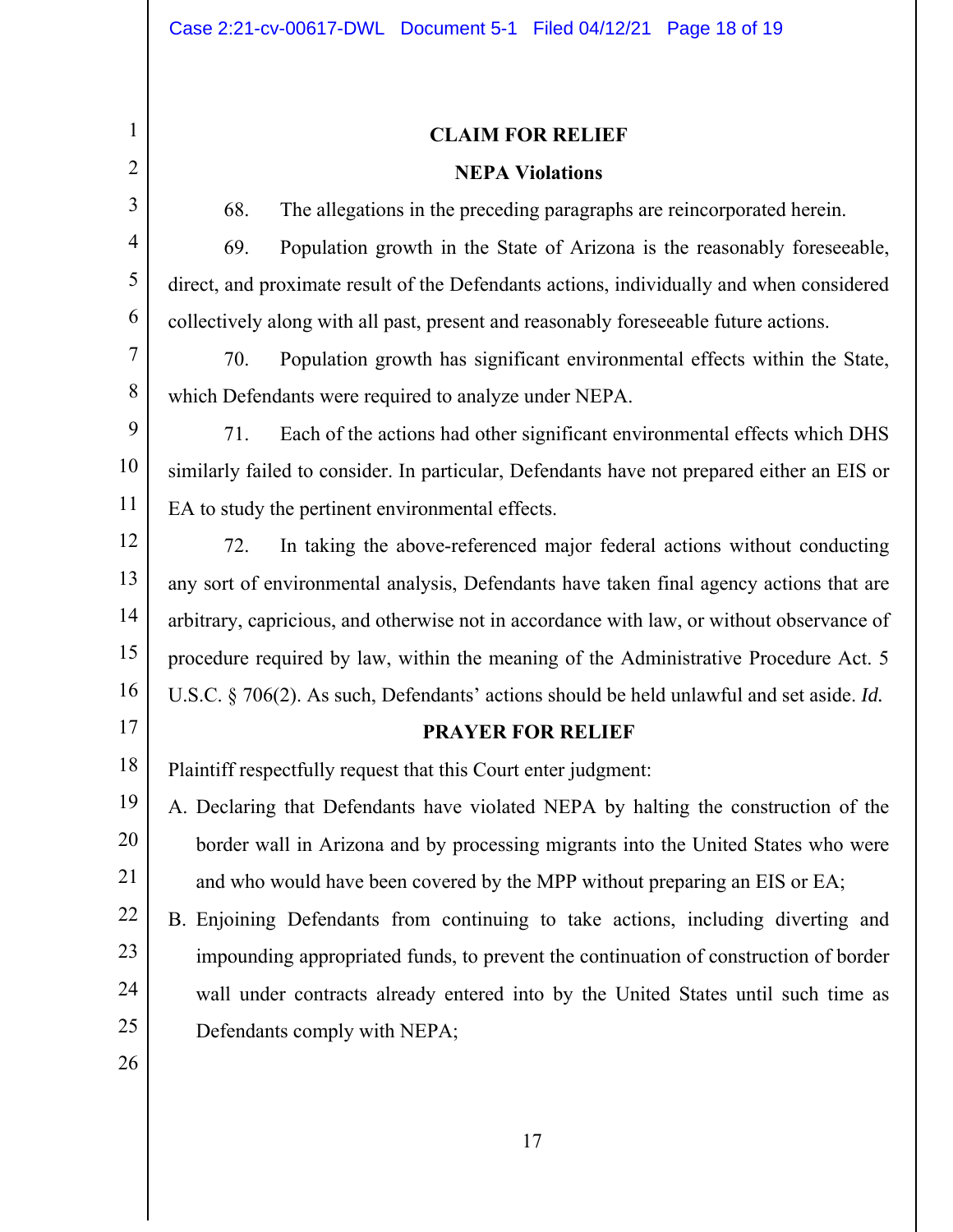# **CLAIM FOR RELIEF NEPA Violations**

2 3

4

5

6

7

8

1

68. The allegations in the preceding paragraphs are reincorporated herein.

69. Population growth in the State of Arizona is the reasonably foreseeable, direct, and proximate result of the Defendants actions, individually and when considered collectively along with all past, present and reasonably foreseeable future actions.

70. Population growth has significant environmental effects within the State, which Defendants were required to analyze under NEPA.

9 10 11 71. Each of the actions had other significant environmental effects which DHS similarly failed to consider. In particular, Defendants have not prepared either an EIS or EA to study the pertinent environmental effects.

12 13 14 15 16 72. In taking the above-referenced major federal actions without conducting any sort of environmental analysis, Defendants have taken final agency actions that are arbitrary, capricious, and otherwise not in accordance with law, or without observance of procedure required by law, within the meaning of the Administrative Procedure Act. 5 U.S.C. § 706(2). As such, Defendants' actions should be held unlawful and set aside. *Id.*

## **PRAYER FOR RELIEF**

18 Plaintiff respectfully request that this Court enter judgment:

19 20 21 A. Declaring that Defendants have violated NEPA by halting the construction of the border wall in Arizona and by processing migrants into the United States who were and who would have been covered by the MPP without preparing an EIS or EA;

22 23 24 25 B. Enjoining Defendants from continuing to take actions, including diverting and impounding appropriated funds, to prevent the continuation of construction of border wall under contracts already entered into by the United States until such time as Defendants comply with NEPA;

26